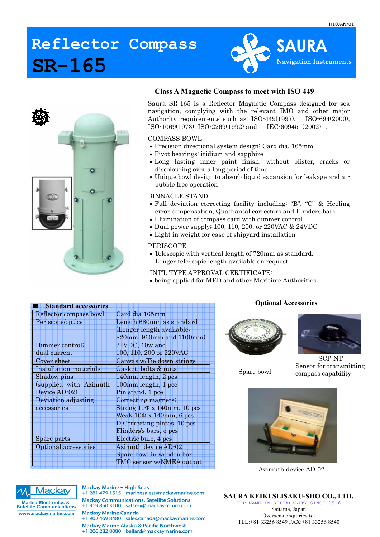## **Reflector Compass SR-165**





### **Class A Magnetic Compass to meet with ISO 449**

Saura SR-165 is a Reflector Magnetic Compass designed for sea navigation, complying with the relevant IMO and other major Authority requirements such as; ISO-449(1997), ISO-694(2000), ISO-1069(1973), ISO-2269(1992) and IEC-60945(2002).

#### COMPASS BOWL

- Precision directional system design; Card dia. 165mm
- Pivot bearings: iridium and sapphire
- Long lasting inner paint finish, without blister, cracks or discolouring over a long period of time
- Unique bowl design to absorb liquid expansion for leakage and air bubble free operation

#### BINNACLE STAND

- Full deviation correcting facility including; "B", "C" & Heeling error compensation, Quadrantal correctors and Flinders bars
- Illumination of compass card with dimmer control
- Dual power supply; 100, 110, 200, or 220VAC & 24VDC
- Light in weight for ease of shipyard installation

#### PERISCOPE

• Telescopic with vertical length of 720mm as standard. Longer telescopic length available on request

INT'L TYPE APPROVAL CERTIFICATE:

• being applied for MED and other Maritime Authorities

| <b>Standard accessories</b> |                                      |
|-----------------------------|--------------------------------------|
| Reflector compass bowl      | Card dia 165mm                       |
| Periscope/optics            | Length 680mm as standard             |
|                             | (Longer length available;            |
|                             | 820mm, 960mm and 1100mm)             |
| Dimmer control;             | 24VDC, 10w and                       |
| dual current                | 100, 110, 200 or 220VAC              |
| Cover sheet                 | Canvas w/Tie down strings            |
| Installation materials      | Gasket, bolts & nuts                 |
| Shadow pins                 | 140mm length, 2 pcs                  |
| (supplied with Azimuth      | 100mm length, 1 pce                  |
| Device AD-02)               | Pin stand, 1 pce                     |
| Deviation adjusting         | Correcting magnets;                  |
| accessories                 | Strong $10\Phi$ x $140$ mm, $10$ pcs |
|                             | Weak $10\Phi$ x $140$ mm, 6 pcs      |
|                             | D Correcting plates, 10 pcs          |
|                             | Flinders's bars, 5 pcs               |
| Spare parts                 | Electric bulb, 4 pcs                 |
| Optional accessories        | <b>Azimuth device AD-02</b>          |
|                             | Spare bowl in wooden box             |
|                             | TMC sensor w/NMEA output             |

#### **Optional Accessories**





Spare bowl

SCP-NT Sensor for transmitting compass capability



Azimuth device AD-02



**Marine Electronics &<br>Satellite Communications** www.mackaymarine.com

**Mackay Marine - High Seas** +1 281 479 1515 marinesales@mackaymarine.com **Mackay Communications, Satellite Solutions** +1 919 850 3100 satserv@mackaycomm.com **Mackay Marine Canada** +1 902 469 8480 sales.canada@mackaymarine.com **Mackay Marine Alaska & Pacific Northwest** +1 206 282 8080 ballard@mackaymarine.com

**SAURA KEIKI SEISAKU-SHO CO., LTD.**  TOP NAME IN RELIABILITY SINCE 1916 Saitama, Japan Overseas enquiries to: TEL:+81 33256 8549 FAX:+81 33256 8540